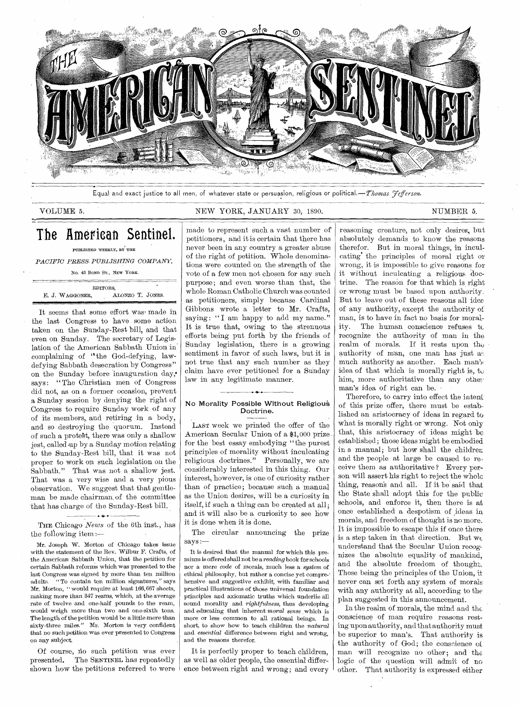

Equal and exact justice to all men, of whatever state or persuasion, religious or political.—Thomas *Fefferson*.

RIMINEN INI 111.1111 · 111.1111 · 111.1111 · 111.1111 · 11

#### VOLUME 5. NEW YORK, JANUARY 30, 1890. NUMBER 5.

# The American Sentinel.

#### PUBLISHED WEEKLY, BY THE

*PACIFIC PRESS- PUBLISHING COMPANY,* 

No. 43 BOND ST., NEW YORK.

EDITORS, E. J. WAGGONER, ALONZO T. JONES.

It seems that some effort was made in the last Congress to have some action taken on the Sunday-Rest bill, and that even on Sunday. The secretary of Legislation of the American Sabbath Union in complaining of "the God-defying, lawdefying Sabbath desecration by Congress" on the Sunday before 'inauguration day; says: "The Christian men of Congress did not, as on a former occasion, prevent a Sunday session by denying the right of Congress to require Sunday work of any of its members,, and retiring in a body, and so destroying the quorum. Instead of such a prote§t, there was only a shallow jest, called up by a Sunday motion relating to the Sunday-Rest bill, that it was not proper to work on such legislation on the Sabbath." That was not a shallow jest. That was a very wise and a very pious obserVation. We suggest that that gentleman be made chairman, of the committee 'that has charge of the Sunday-Rest bill.

• ÷ • THE Chicago *News* of the 6th inst., has the following item :—

Mr. Joseph W. Morton of Chicago takes issue with the statement of the Rev. Wilbur F. Crafts, of the American Sabbath Union, that the petition for certain Sabbath reforms which was presented to the last Congress was signed by more than ten million adults. "To contain ten million signatures," says Mr. Morton, " would require at least 166,667 sheets, making more than 347 reams, which, at the average rate of twelve and one-half pounds to the ream, would weigh more than two and one-sixth tons.  ${\bf The \, length \, of \, the \, {\rm petition} \, would \, be \, a \, little \, more \, than}$ sixty-three miles." Mr. Morton is very confident that no such petition was ever presented to Congress on any subject.

Of course, no such petition was ever presented. The SENTINEL has repeatedly shown how the petitions referred to were

made to represent such a vast number of petitioners, and it is certain that there has never been in any country a greater abuse of the right of petition. Whole denominations were counted on the strength of the vote of a few men not chosen for any such purpose ; and even worse than that, the whole Roman Catholic Church was counted as petitioners, simply because Cardinal Gibbons wrote a letter to Mr. Crafts, saying: "I am happy to add my name." It is true that, owing to the strenuous efforts being put forth by the friends of Sunday legislation, there is a growing sentiment in favor of such laws, but it is not true that any such number as they claim have ever petitioned for a Sunday law in any legitimate manner.

#### No Morality Possible Without Religiou Doctrine.

LAST week we printed the offer of the American Secular Union of a \$1,000 prize for the best essay embodying "the purest principles of morality without inculcating religious doctrines." Personally, we are considerably interested in this thing. Our interest, however, is one of curiosity rather than of practice; because such a manual as the Union desires, will be a curiosity in itself, if such a thing can be created at all; and it will also be a curiosity to see how it is done when it is done.

The circular announcing the prize says :—

It is desired that the manual for which this premium is offered shall not be a *reading* book for schools nor a mere *code* of morals, much less a *system* of ethical philosophy, but rather a concise yet compre-. hensive and suggestive exhibit, with familiar and practical illustrations of those universal foundation principles and axiomatic truths which underlie all sound morality and *rightfulness,* thus developing and educating that inherent *moral sense* which is more or less common to all rational beings. In short, to show how to teach children the *natural*  and *essential* difference between right and wrong, and the reasons therefor.

It is perfectly proper to teach children, as well as older people, the essential difference between right and wrong; and every

reasoning creature, not only desires, but absolutely demands to know the reasons therefor. But in moral things, in inculcating the principles of moral right or wrong, it is impossible to give reasons for it without inculcating a religious doctrine. The reason for that which is right or wrong must be based upon authority, But to leave out of these reasons all ides of any authority, except the authority of man, is to have in fact no basis for morality. The human conscience refuses to recognize the authority of man in the realm of morals. If it rests upon the authority of man, one man has just asmuch authority as another. Each man's idea of that which is morally right is,  $t_{\mathcal{V}}$ him, more authoritative than any other man's idea of right can be.

Therefore, to carry into effect the intent of this prize offer, there must be estab. lished an aristocracy of ideas in regard to what is morally right or wrong. Not only that, this aristocracy of ideas might be established; those ideas might be embodied in a manual; but how shall the children and the people at large be caused to re, ceive them as authoritative ? Every person will assert his right to reject the whole thing, reason's and all. If it be said that the State shall adopt this for the public schools, and enforce it, then there is at once established a despotism of ideas in morals, and freedom of thought is no more. It is impossible to escape this if once there is a step taken in that direction. But  $w_{\ell}$ understand that the Secular Union recog. nizes the absolute equality of mankind, and the absolute freedom of thought. These being the principles of the Union, it never can set forth any system of morals with any authority at all, according to the plan suggested in this announcement.

In the realm of morals, the mind and the conscience of man require reasons resting upon authority, and that authority must be superior to man's. That authority is the authority of God; the conscience of man will recognize no other; and the logic of the question will admit of no other. That authority is expressed either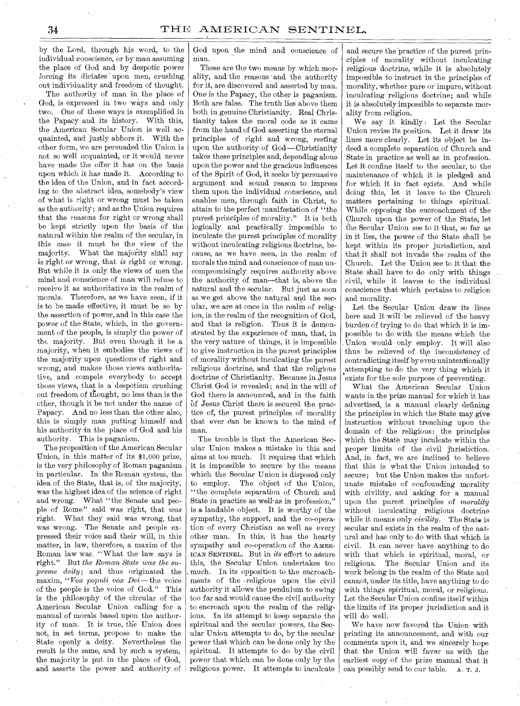by the Lord, through his word, to the individual conscience, or by man assuming the place of God and by despotic power forcing its dictates upon men, crushing. out individuality and freedom of thought.

The authority of man in the place of God, is expressed in two ways and only two. One of these ways is exemplified in the Papacy and its history. With this, the American Secular Union is well acquainted, and justly abhors it. With the other form, we are persuaded the Union is not so well acquainted, or it would never have made the offer it has on the basis upon which *it* has made it. According to the idea of the Union, and in fact according to the abstract idea, somebody's view of what is right or wrong must be taken as the authority; and as the Union requires that the reasons for right or wrong shall be kept strictly upon the basis of the natural within the realm of the secular, in this case it must be the view of the majority. What the majority shall say is right or wrong, that *is* right or wrong. But while it is only the views of men the mind and conscience of man will refuse to receive it as authoritative in the realm of morals. Therefore, as we have seen, if it is to be made effective, it must be so by the assertion of power, and in this case the power of the State, which, in the government of the people, is simply the power of the majority. But even though it be a majority, when it embodies the views of the majority upon questions of right and wrong, and makes those views authoritative, and compels everybody to accept those views, that is a despotism crushing out freedom of thought, no less than is the ether, though it be not under the name of Papacy. And no less than the other also, this is simply man putting himself and his authority in the place of God and his authority. This is paganism.

The proposition of the American Secular Union, in this matter of its \$1,000 prize, is the very philosophy of Roman paganism in particular. In the Roman system, the idea of the State, that is, of the majority, was the highest idea of the science of right and wrong. What "the Senate and people of Rome" said was right, that *was*  right. What they said was wrong, that was wrong. The Senate and people expressed their voice and their will, in this matter, in law, therefore, a maxim of the Roman law was "What the law says is right." But *the Roman State was the supreme deity;* and thus originated the maxim, *"Vow populi vow Dei—* the voice of the people is the voice of God." This is the philosophy of the circular of the American Secular Union calling for a manual of morals based upon the authority of man. It is true, the Union does not, in set terms, propose to make the State openly a deity. Nevertheless the result is the same, and by such a system, the majority is put in the place of God, and asserts the power and authority o

God upon the mind and conscience of man. •

These are the two means by which morality, and the reasons - and the authority for it, are discovered and asserted by man. One is the Papacy, the other is paganism. Both are false. The truth lies above them both in genuine Christianity. Real Christianity takes the moral code as it came from the hand of God asserting the eternal principles of right and wrong, resting upon the authority of God — Christianity takes these principles and, depending alone upon the power and the gracious influences of the Spirit of God, it seeks by persuasive argument and sound reason to impress them upon the individual conscience, and enables men, through faith in Christ, to attain to the perfect manifestation of "the purest principles of morality." It is both logically and practically, impossible to inculcate the purest principles, of morality without inculcating religious doctrine, because, as we have seen, in the realm of morals the mind and conscience of man uncompromisingly requires authority above the authority, of man—that is, above the natural and the secular. But just as soon as we get above the natural and the secular, we are at once in the realm of religion, in the realm of the recognition of God, and that is religion. Thus it is demonstrated by the experience of man, that, in the very nature of things, it is impossible to give instruction in the purest principles of morality without inculcating the purest religious doctrine, and that the religious doctrine of Christianity. Because in Jesus Christ God is revealed; and in the will of God there is announced, and in the faith of Jesus Christ there is secured the practice of, the purest principles of morality that ever can be known to the mind of man.

The trouble is that the American Secular Union makes a mistake in this and aims at too much. It requires that which it is impossible to secure by the means which the Secular Union is disposed only to employ. The object of the Union, "the complete separation of Church and State in practice as well as in profession," is a laudable object. It is worthy of the sympathy, the support, and the co-operation of every Christian as well as every other man. In this, it has the hearty sympathy and co-operation of the AMER-ICAN SENTINEL. But in *its* effort to assure this, the Secular Union undertakes too much. In its opposition to the encroachments of the religious upon the civil authority it allows the pendulum to swing too far and would cause the civil authority to encroach upon the realm of the religious. In its attempt to keep separate the spiritual and the secular powers, the Secular Union attempts to do, by the secular power that which can be done only by the spiritual. It attempts to do by the civil power that which can be done only by the religious power. It attempts to inculcate

and secure the 'practice of the purest principles of morality without inculcating religious doctrine, while it is absolutely impossible to instruct in the principles of morality, whether pure or impure, without inculcating religious doctrine; and while it is absolutely impossible to separate morality from religion.

We say it kindly: Let the Secular Union revise its position. Let it draw its lines more clearly. Let its object be indeed a complete separation of Church and State in practice as well as in profession. Let it confine itself to the secular, to the maintenance of which it is pledged and for which it in fact exists. And while doing this, let it leave to the Church matters pertaining to things spiritual. While opposing the encroachment of the Church upon the power of the State, let t'he Secular Union see to it that, so far as in it lies, the power of the State shall be kept within its proper jurisdiction, and that it shall not invade the realm of the Church. Let the Union see to it that the State shall have to do only with things civil, while it leaves to the individual conscience that which pertains to religion and morality.

Let the Secular Union draw its lines here and it will be relieved of the heavy burden of trying to do that which it is impossible to do with the means which the Union would only employ. It will also thus be relieved of the inconsistency of contradicting itself by even unintentionally attempting to do the very thing which it exists for the sole purpose of preventing.

What the American Secular Union wants in the prize manual for which it has advertised, is a manual clearly defining the principles in which the State may give instruction without trenching upon the domain of the religious: the principles which the State may inculcate within the proper limits of the civil jurisdiction. And, in fact, we are inclined to believe that this is what the Union intended to secure; but the Union makes the unfortunate mistake of confounding morality with civility, and asking for a manual upon the purest principles of *morality*  without inculcating religious doctrine while it means only *civility*. The State is secular and exists in the realm of the natural and has only to do with that which is civil. It can never have anything to do with that which is spiritual, moral, or religious. The Secular Union and its work belong in the realm of the State and cannot, under its title, have anything to do with things spiritual, moral, or religious. Let the Secular Union confine itself within the limits of its proper jurisdiction and it will do well.

We have now favored the Union with printing its announcement, and with our comments upon it, and we sincerely hope that the Union will favor us with the earliest copy of the prize manual that it can possibly send to our table. A. T. J.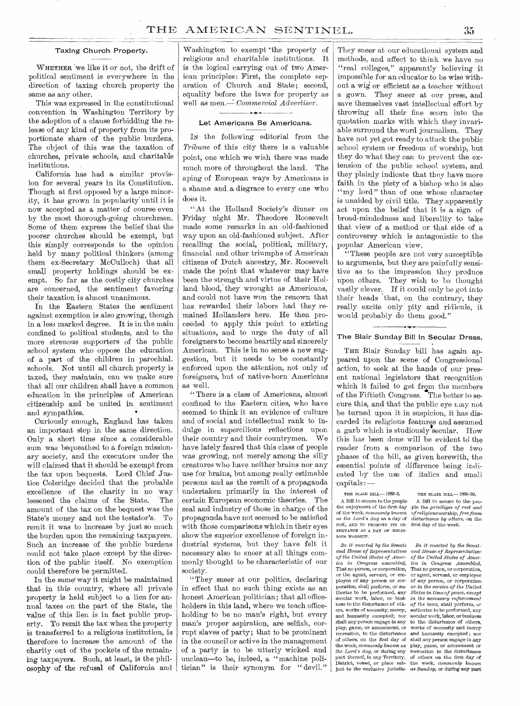#### Taxing Church Property.

WHETHER we like it or not, the drift of political sentiment is everywhere in the direction of taxing church property the same as any other.

This was expressed in the constitutional convention in Washington Territory by the adoption of a clause forbidding the release of any kind of property from its proportionate share of the public burdens. The object of this was the taxation of churches, private schools, and charitable institutions.

California has had a similar provision for several years in its Constitution. Though at first opposed by a large minority, it has grown in popularity until it is now accepted as a matter of course even by the most thorough-going churchmen. Some of them express the belief that the poorer churches should be exempt, but this simply corresponds to the opinion held by many political thinkers (among them ex-Secretary McCulloch) that all small property holdings should be exempt. So far as the costly city churches are concerned, the sentiment favoring their taxation is almost unanimous.

In the Eastern States the sentiment against exemption is also growing, though in a less marked degree. It is in the main confined to political students, and to the more strenous supporters of the public school system who oppose the education of a part of the children in parochial. schools. Not until all church property is taxed, they maintain, can we make sure that all our children shall have a common education in the principles of American citizenship and be united in sentiment and sympathies.

Curiously enough, England has taken an important step in the same direction. Only a short time since a considerable sum was bequeathed to a foreign missionary society, and the executors under the will claimed that it should be exempt from the tax upon bequests. Lord Chief Justice Coleridge decided that the probable excellence of the charity in no way<br>lessened the claims of the State. The lessened the claims of the State. amount of the tax on the bequest was the State's money and not the testator's. To remit it was to increase by just so much the burden upon the remaining taxpayers. Such an increase of the public burdens could not take place except by the direction of the public itself. No exemption could therefore be permitted.

In the same' way it might be maintained that in this country, where all private property is held subject to a lien for annual taxes on the part of the State, the value of this lien is in fact public property. To remit the tax when the property is transferred to a religious institution, is therefore to increase the amount of the charity out of the pockets of the remaining taxpayers. Such, at least, is the philosophy of the refusal of California and

Washington to exempt 'the property of religious and charitable institutions. It is the logical carrying out of two American principles: First, the complete separation of Church and State; second, equality before the laws for property as well as men.<sup>2</sup> *Commercial Advertiser.* 

#### Let Americans Be Americans.

IN the following editorial from the *Tribune* of this city there is a valuable point, one which we wish there was made much more of throughout the land. The aping of European ways by Americans is a shame and a disgrace to every one who does it.

"At the Holland Society's dinner on Friday night Mr. Theodore Roosevelt made some remarks in an old-fashioned way upon an old-fashioned subject. After recalling the social, political, military, financial and other triumphs of American citizens of Dutch ancestry, Mr. Roosevelt made the point that whatever may have been the strength and virtue of their Holland blood, they wrought as Americans, and could not have won the renown that has rewarded their labors had they remained Hollanders here. He then proceeded to apply this point to existing situations, and to urge the duty of all foreigners to become heartily and sincerely American. This is in no sense a new suggestion, but it needs to be constantly enforced upon the attention, not only of foreigners, but of native-born Americans as well.

" There is a class of Americans, almost confined to the Eastern cities, who have seemed to think it an evidence of culture and of social and intellectual rank to indulge in supercilious reflections upon their country and their countrymen. We have lately feared that this class of people was growing, not merely among the silly creatures who have neither brains nor any use for brains, but among really estimable persons and as the result of a propaganda undertaken primarily in the interest of certain European economic theories. The zeal and industry of those in charge of the propaganda have not seemed to be satisfied with those comparisons which in their eyes show the superior excellence of foreign industrial systems, but they have felt it necessary also to sneer at all things commonly thought to be characteristic of our society.

"They sneer at our politics, declaring in effect that no such thing exists as an honest American politician; that all officeholders in this land, where we teach officeholding to be no man's right, but every man's proper aspiration, are selfish, corrupt slaves of party; that to be prominent in the council or active in the management of a party is to be utterly wicked and unclean—to be, indeed, a "machine politician" is their synonym for " devil." They sneer at our educational system and methods, and affect' to think we have no "real colleges," apparently believing it impossible for an educator to be wise without a wig or efficient as a teacher without a gown. They sneer at our press, and save themselves vast intellectual effort by throwing, all their fine scorn into the quotation marks with which they invariable surround the word journalism. They have not yet got ready to attack the public school system or freedom of worship, but they do what they can to prevent the extension of the public school system, and they plainly indicate that they have more faith in the piety of a bishop who is also "my lord" than of one whose character is unaided by civil title. They apparently act upon the belief that it is a sign of broad-mindedness and liberality to take that view of a method or that side of a controversy which is antagonistic to the popular American view.

"These people are not very susceptible to arguments, but they are painfully sensitive as to the impression they produce upon others. They wish to be thought vastly clever. If it could only he got into their heads 'that, on the contrary, they really excite only pity and ridicule, it would probably do them good."

#### ° The Blair Sunday Bill in Secular Dress. •

THE Blair Sunday bill has again appeared upon the scene of Congressional action, to seek at the hands of our present national legislators that recognition which it failed to get from the members of the Fiftieth Congress. The better to secure this, and that the public eye may not be turned upon it in suspicion, it has discarded its religious features and assumed a garb which is studiously secular. How this has been done will be evident to the reader from a comparison of 'the two phases of the bill, as given herewith, the essential points of difference being indicated by the use of italics and small -capitals :

THE BLAIR BILL--1888-9. THE BLAIR BILL--1889-90.<br>  $\Delta$  Bill to secure to the people A Bill to secure to the people the enjoyment of the first day of the week, *commonly known as the Lord's day* as a day of *disturbance by others*,  $\alpha$  rest, AND TO PROMOTE ITS OB- first day of the week. rest, AND TO PROMOTE ITS OB-SERVANCE AS A DAY OF RELIG-IOUS WORSHIP.

*and House of Representatives and House of RelA esentativer*  and humanity excepted; nor secular work, labor, or business<br>shall any person engage in any to the disturbance of others of others, on the first day of shall any person engage in any<br>the week, *commonly known as* play, game, or amusement or<br>the Lord's day, or during any recreation to the disturbance

 $\Lambda$  Bill to secure to the people  $\Lambda$  Bill to secure to the people enjoyment of the first day ple the *priviliges of rest and* of religious worship, free from<br>disturbance by others, on the

Be *it enacted by the Senate Be it enacted by the Senat: of the United States of Amer- of the United States of America in Congress assembled, ica in Congress Assembled,*  That no person, or corporation, That no person, or corporation, or the agent, servant, or em-or agent, servant, or employee ployee of any person or cor-of *any* person, or corporation poration, shall perform, or au- *or in the service of the United*  poration, shall perform, or au- or in the service of the United thorize to be performed, any *States in time of peace, except* secular work, labor, or busi- in the necessary enforcement secular work, labor, or busi- *in the necessary enforcement* ness to the disturbance of oth- of the laws, shall perform or ness to the disturbance of oth- *of the laws,* shall perform, or ers, works of necessity, mercy, authorize to be performed, any soom was person to the disturbance of others,<br>works of necessity and mercy play, game, or amusement, or works of necessity and mercy recreation, to the disturbance and humanity excepted ; nor and humanity excepted; nor shall any person engage in any play, game, or amusement or *the Lord's day,* or during any recreation to the disturbance part thereof, in any Territory, of others on the first day of District, vessel, or place sub-the week, *commonly known*  ject to the exclusive jurisdic- *as Sunday,* or during any part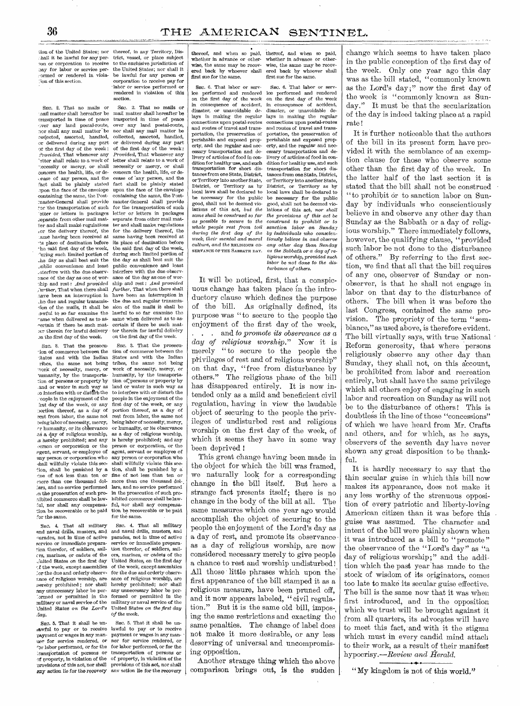iion of the United States; nor hall it be lawful for any person or corporation to receive Pay for labor or service per or rendered in viola-: ion of this section.

SEC. 2. That no mails or nail matter shall hereafter be transported in time of peace<br>over any land postal-route, any land postal-route, nor shall any mail matter be collected, assorted, handled, or delivered during any part et the first day of the week : *Provided,* That whenever any 'atter shall relate to a work of necessity or mercy, or shall concern the health, life, or de- .:ease of any person, and the fact shall be plainly stated mon the face of the envelope containing the same, the Postmaster-General shall provide for the transportation of such etter or letters in packages separate from other mail matter and shall make regulations .,or the delivery thereof, the tame having been received at -ts place of destination before "he said first day of the week, 'wring such limited portion of ,..he day as shall best suit the dublic convenience and least .aterfere with the due observance of the day as one of worship and rest: *And provided ;wilier,* That when there shall have been an interruption in he due and regular transmission of the mails, it shall be awful to so far examine the rame when delivered as to aseertain if there be such matser therein for lawful delivery an the first day of the week.

SEC. 3. That the prosecu--ion of commerce between the diates and with the Indian ribcs, the same not being -work of necessity, mercy, or aumanity, by the transportation of persons or property by and or water in such way as o interfere with or disturb the eople in the enjoyment of the day of the week, or any ,)ortion thereof, as a day of rest from labor, the same not teing labor of necessity, mercy, r humanity, or its observance as a day of religious worship, ,s nereby prohibited; and any .'erson or corporation or the egent, servant, or employee of any person or corporation who -ball willfully violate this see tion, shall be punished by a dne of not less than ten or more than one thousand dol-<br>charge than one thousand dolars, and no service performed in the prosecution of such proaibited commerce shall be law- :A nor shall any compensation be recoverable or be paid for the same.

SEC. 4. That all military and naval drills, musters, and earades, not in time of active service or immediate prepara-tion therefor, of soldiers, sailers, marines, or cadets of the Jutted States on the first day  $c$ f the week, except assemblies :or the due and orderly observance of religious worship, are nereby prohibited ; nor shall any unnecessary labor be per-<br>
Cormed or permitted in the military or naval service of the 'United States on *the Lord's*  "lay.

SEC. 5. That it shall be unlawful to pay or to receive lawful to pay or to receive uer for service rendered, or 'or labor performed, or for the for labor performed, or for the transportation of persons or of property, in violation of the provisions of this act, nor shall any action lie for the recovery any action lie for the recovery

thereof, in any Territory, District, vessel, or place subject to the exchisive jurisdiction of the United States; nor shall it be lawful for any person or corporation to receive pay for labor or service perform rendered in violation of this section.

SEC. 2. That no mails or mail matter shall hereafter be trasported in time of peace over any land postal-route, nor shall any mail matter be collected, assorted, handled, or delivered during any part of the first day of the week : *Provided,* That whenever any letter shall relate to a work of necessity or mercy, or shall concern the health, life, or decease of \*any person, and the fact shall be plainly stated upon the face of the envelope containing the same, the Postmaster-General shall provide for the transportation of such letter or letters in packages separate from other mail matter and shall make regulations for the delivery thereof, the same having been received at its place of destination before the said first day of the week, during such limited portion of the day as shall best suit the public convenience and least interfere with the due observance of the day as one of worship and rest : *And provided further,* That when there shall have been an interruption in the due and regular transmission of the mails it shall be lawful to so far examine the same when delivered as to ascertain if there be such matter therein for lawful delivery on the first day of the week.

SEc. 3. That the prosecution of commerce between the States and with the Indian tribes, the same not being work of necessity, mercy, or humanity, by the transportation of; persons or property by land or water in such way as to interfere with or disturb the people in the enjoyment of the first day of the week, or any portion thereof, as a day of rest from labor, the same not being labor of necessity, mercy, or humanity, or its observance as a day of religious worship, is hereby prohibited; and any person or corporation, or the agent, servant or employee of any person or corporation who shall willfully violate this section, shall be punished by a fine of not less than ten or more than one thousand dollars, and no service performed in the prosecution of such prohibited commerce shall be lawful, nor shall any compensation be recoverable or be paid for the same.

SEC. 4. That all military and naval drills, musters, and parades, not in time of active service or immediate preparation therefor, of soldiers, sailors, marines, or cadets of the United States, on the first day of the week, except assemblies for the due and orderly observance of religious worship, are hereby prohibited; nor shall any unnecessary labor be per-formed or permitted in the military or naval service of the United States *on the first day of the week.* 

payment or wages in any man- payment or wages in any man-SEC. 5. That it shall be unfor service rendered, or transportation of persons or of property, in violation of the provisions of this act, nor shall

thereof, and when so paid, thereof, and when so paid, whether in advance or other-whether in advance or otherered back by whoever shall ered back by whoever shall ered back by whoever shall ered for the same. first sue for the same.

SEC. 6. That labor or serv-<br>SEC. 6. That labor or serv-<br>ice performed and rendered ice performed and rendere ice performed and rendered ice performed and rendered on the first day of the week on the first day of the week in consequence of accident, in consequence of accident, lays in making the regular lays in making the regular connections upon postal-routes connections upon postal-routes connections upon postal-routes and routes of travel and trans-and routes of travel and transand routes of arever and trans-<br>and the preservation of portation, the preservation<br>perishable and exposed prop-<br>perishable and exposed pro<br>erty, and the regular and nec-<br>erty, and the regular and necerty, and the regular and nec-<br>essary transportation and deessary transportation and de-essary transportation and de-<br>livery of articles of food in con-livery of articles of food in condition for healthy use, and such<br>transportation for short distransportation for short dis-transportation for short dis-<br>tances from one State, District, tances from one State, District, tances from one State, District, tances from one State, District, or Territory into another State, or Territory into another State, local laws shall be declared to local laws shall be declared to be necessary for the public<br>good, shall not be deemed viogood, shall not be deemed vio-good, shall not be deemed vio-lations of this act, *but the* lations of this act, *nor shall*  **Extra set of this act, but the lations of this act, nor shall same shall be construed so far the provisions of this act be as possible to secure to the construed to prohibit or to** *as possible to secure to the construed to prohibit or to during the first day of the*<br>*week*, their mental and moral *week, their mental and moral tiously believe in and observe culture, and the* RELIGIOUS OB-any *other day than Sunday* 

whether in advance or other-wise, the same may be recov-wise, the same may be recov-<br>wise, the same may be recov-wise, the same may be recov-<br>ered back by whoever shall ered back by whoever shall

disaster, or unavoidable deportation, the preservation of<br>perishable and exposed proplivery of articles of food in con-<br>dition for healthy use, and such District, or Territory as by local laws shall be declared to *sanction labor on Sunday*<br>by individuals who conscienas the Sabbath or a day of re*ligious worship, provided such labor be not done to the disturbance of others.* 

It will be noticed, first, that a conspicuous change has taken place in the introductory clause which defines the purpose of the bill. As originally defined, its purpose was "to secure to the people the enjoyment of the first day of the week, . . and *to promote its observance as a day of religious worship."* Now it is merely "to secure to the people the privileges of rest and of religious worship" on that day, "free from disturbance by others." The religious phase of the bill has disappeared entirely. It is now intended only as a mild and beneficient civil regulation, having in view the laudable object of securing to the people the privileges of undisturbed rest and religious worship on the first day of the week, of which it seems they have in some way been deprived !

This great change having been made in the object for which the bill was framed, we naturally look for a corresponding change in the bill itself. But here a strange fact presents itself; there is no change in the body of the bill at all. The same measures which one year ago would accomplish the object of securing to the people the enjoyment of the Lord's day as a day of rest, and promote its observance as a day of religious worship, are now considered necessary merely to give people a chance to rest and worship undisturbed ! All those little phrases which upon the first appearance of the bill stamped it as a religious measure, have been pruned off, and it now appears labeled, " civil regulation." But it is the same old bill, impos-, ing the same restrictions and exacting the same penalties. The change of label does not make it more desirable, or any less deserving of universal and uncompromising opposition.

Another strange thing which the above comparison brings out, is the sudden

change which seems to have taken place in the public conception of the first day of the week. Only one year ago this day was as the bill stated, "commonly known as the Lord's day ;" now the first day of the week is "commonly known as Sunday." It must be that the secularization of the day is indeed taking place at a rapid rate!

It is further noticeable that the authors of the bill in its present form have provided it with the semblance of an exemption clause for those who observe some other than the first day of the week. In the latter half of the last section it is stated that the bill shall not be construed "to prohibit or to sanction labor on Sunday by individuals who conscientiously believe in and observe any other day than Sunday as the Sabbath or a day of religious worship." There immediately follows, however, the qualifying clause, "provided such labor be not done to the disturbance of others." By referring to the first section, we find that all that the bill requires of any one, observer of Sunday or nonobserver, is that he shall not engage in labor on that day to the disturbance of others.' The bill when it was before the last Congress, contained the same provision. The propriety of the term "semblance," as used above, is therefore evident. The bill virtually says, with true National Reform generosity, that where persons religiously observe any other day than Sunday, they shall not, on this account. be prohibited from labor and recreation entirely, but shall have the same privilege which all others enjoy of engaging in such labor and recreation on Sunday as will not be to the disturbance of others! This is doubtless in the line of those "concessions" of which we have heard from Mr. Crafts and others, and for which, as he says, observers of the seventh day have never shown any great disposition to be thankful.

It is hardly necessary to say that the thin secular guise in which this bill now makes its appearance, does not make it any less worthy of the strenuous opposition of every patriotic and liberty-loving American citizen than it was before this guise was assumed. The character and intent of the bill were plainly shown when it was introduced as a bill to "promote" the observance of the "Lord's day" as "a day of religious worship;" and the addi tion which the past year has made to the stock of wisdom of its originators, comes too late to make its secular guise effective. The bill is the same now that it was when first introduced, and in the opposition which we trust will be brought against it from all' quarters, its advocates will have to meet this fact, and with it the stigma which must in every candid mind attach to their work, as a result of their manifest hypocrisy.—Review *and Herald.* 

" My kingdom is not of this world."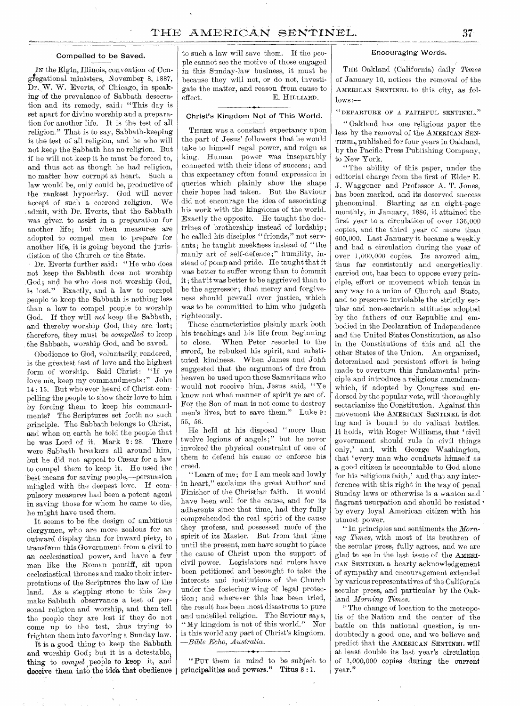#### Compelled to be Saved.

gregational ministers, November 8, 1887, N the Elgin, Illinois, convention of Con-Dr., W. W. Everts, of Chicago, in speaking of the prevalence of Sabbath desecration and its remedy, said: "This day is set apart for divine worship and a preparation for another life. It is the test of all religion." That is to say, Sabbath-keeping is the test of all religion, and he who will not keep the Sabbath has no religion. But if he will not keep it he must be forced to, and thus act as though he had religion, no matter how corrupt at heart. Such a law would be, only could be, productive of the rankest hypocrisy. God will never accept of such a coerced religion. We admit, with Dr. Everts, that the Sabbath was given to assist in a preparation for another life; but when measures are adopted to compel men to prepare for another life, it is going beyond the jurisdistion of the Church or the State.

Dr. Everts further said: "He who does not keep the Sabbath does not worship God; and he who does not worship God, is lost." Exactly, and h law to compel people to keep the Sabbath is nothing less than a law to compel people to worship God. If they will *not* keep the Sabbath, and thereby worship God, they are. lost; therefore, they must be *compelled* to keep the Sabbath, worship God, and be saved.

Obedience to God, voluntarily, rendered, is the greatest test of love and the highest form of worship. Said Christ: "If ye love me, keep my commandments :" John 14 : 15. But who ever heard of Christ compelling the people to show their love to him by forcing them to keep his commandments? The Scriptures set forth no such principle. The Sabbath belongs to Christ, and when on earth he told the people that he was Lord of it. Mark 2: 28. There were Sabbath breakers all around him, but he did not appeal to Cæsar for a law to compel them to keep it. He used the best means for saving people,--persuasion mingled with the deepest love. If compulsory measures had been a potent agent in saving those for whom he came to die, he might have used them.

It seems to be the design of ambitious clergymen, who are more zealous for an outward display than for inward piety, to transform this Government from a civil to an ecclesiastical power, and have a few men like the Roman pontiff, sit upon ecclesiastical thrones and make their interpretations of the Scriptures the law of the land. As a stepping stone to this they make Sabbath observance a test of personal religion and worship, and then tell the people they are lost if they do not come up to the test, thus trying to frighten them into favoring a Sunday law.

It is a good thing to keep the Sabbath and worship God; but it is a detestable, thing to *compel* people to keep it, and deceive them into the idea that obedience  $\vert$  principalities and powers." Titus  $3:1$ .

to such a law will save them. If the people cannot see the motive of those engaged in this Sunday-law business, it must be because they will not, or do not, investigate the matter, and reason from cause to effect. E. HILLIARD.

#### Christ's Kingdom Not of This World.

THERE was a constant expectancy upon the part of Jesus' followers that he would take to himself regal power, and reign as king. Human power was inseparably connected with their ideas of success ; and this expectancy often found expression in queries which plainly show the shape their hopes had taken. But the Saviour did not encourage the idea of associating his work with the kingdoms of the world. Exactly the opposite. He taught the doctrines of brothership instead of lordship; he called his disciples "friends," not servants; he taught meekness instead of "the manly art of self-defence;" humility, instead of pomp and pride. He taught that it was better to suffer wrong than to commit it; thatit was better to be aggrieved than to be the aggressor; that mercy and forgiveness should prevail over justice, which was to be committed to him who judgeth righteously.

These characteristics plainly mark both his teachings and his life from beginning to close. When Peter resorted to the sword, he rebuked his spirit, and substituted kindness. When James and John suggested that the argument of fire from heaven be used upon those Samaritans who would not receive him, Jesus said, "Ye know not what manner of spirit ye are of. For the Son of man is not come to destroy men's lives, but to save them." Luke 9: 55, 56.

He held at his disposal "more than twelve legions of angels;" but he never invoked the physical constraint of one of them to defend his cause or enforce his creed.

"Learn of me; for I am meek and lowly in heart," exclaims the great Author and Finisher of the Christian faith. It would have been well for the cause, and for its adherents since that time, had they fully comprehended the real spirit of the cause they profess, and possessed more of the spirit of its Master. But from that time until the present, men have sought to place the cause of Christ upon the support of civil power. Legislators and rulers have been petitioned and besought to take the interests and institutions of the Church under the fostering wing of legal protection; and wherever this has been tried, the result has been most disastrous to pure and undefiled religion. The Saviour says, "My kingdom is not of this world." Nor is this world any part of Christ's kingdom. *—Bible Echo, Australia.* 

"PUT them in mind to be subject to

**-•** 

### *Encouraging* Words.

THE Oakland (California) daily *Times*  of January 10, notices the removal of the AMERICAN SENTINEL to this city, as fol $lows$ : $-$ 

" DEPARTURE OF A FAITHFUL SENTINEL."

" Oakland has one religious paper the less by the removal of the AMERICAN SEN-TINEL, published for four years in Oakland, by the Pacific Press Publishing Company, to New York.

"The ability of this paper, under the editorial charge from the first of Elder E. J. Waggoner and Professor A. T. Jones, has been marked, and its deserved success phenominal. Starting as an eight-page monthly, in January, 1886, it attained the first year to a circulation of over 136,000 copies, and the third year of more than 600,000. Last January it became a weekly and had a circulation during the year of over 1,000,000 copies. Its avowed aim, thus far consistently and energetically carried out, has been to oppose every principle, effort or movement which tends in any way to a union of Church and State, and to preserve inviolable the strictly secular and non-sectarian attitudes adopted by the fathers of our Republic and embodied in the Declaration of Independence and the United States Constitution, as also in the Constitutions of this and all the other States of the Union. An organized, determined and persistent effort is being made to overturn this fundamental principle and introduce a religious amendmen which, if adopted by Congress and endorsed by the popular vote, will thoroughly sectarianize the Constitution. Against this movement the AMERICAN SENTINEL is dot ing and is bound to do valiant battles. It holds, with Roger Williams, that 'civil government should rule in civil things only,' and, with George Washington, that 'every man who conducts himself as a good citizen is accountable to God alone for his religious faith,' and that any interference with this right in the way of penal Sunday laws or otherwise is a wanton and flagrant usurpation and should be resisted • by every loyal American citizen with his utmost power.

" In principles and sentiments the *Morning Times,* with most of its brethren of the secular press, fully agrees, and we are glad to see in the last issue of the AMERI-CAN SENTINEL a hearty acknowledgement of sympathy and encouragement extended by various representatives of the California secular press, and particular by the Oakland *Morning Times.* 

"The change of location to the metropolis of the Nation and the center of the battle on this national question, is undoubtedly a good one, and we believe and predict that the AMERICAN SENTINEL will at least double its last year's circulation of 1,000,000 copies during the current year."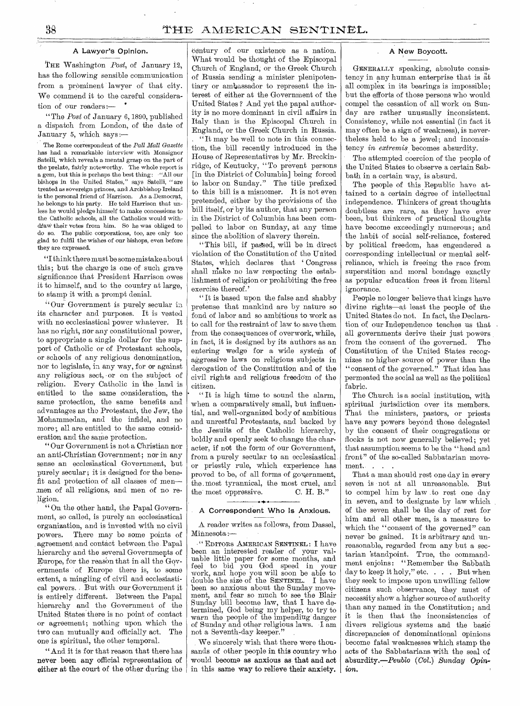#### A Lawyer's Opinion.

THE Washington *Post,* of January 12, has the following sensible communication from a prominent lawyer of that city. We commend it to the careful consideration of our readers :—

"The *Post* of January 6, 1890, published a dispatch from London, of the date of January 5, which says :—

The Rome correspondent of the *Pall Mall Gazette*  has had a remarkable interview with Monsignor Satelli, which reveals a mental grasp on the part of the prelate, fairly noteworthy. The whole report is a gem, but this is perhaps the best thing : "All our bishops in the United States," says Satelli, "are treated as sovereign princes, and Archbishop Ireland is the personal friend of Harrison. As a Democrat, he belongs to his party. He told Harrison that unless he would pledge himself to make concessions to the Catholic schools, all the Catholics would withdraw their votes from him. So he was obliged to do so. The public corporations, too, are only too glad to fulfil the wishes of our bishops, even before they are expressed.

"I think there must be some mistake about this; but the charge is one of such grave significance that President Harrison owes it to himself, and to the country at large, to stamp it with a prompt denial.

" Our Government is purely secular in. its character and purposes. It is vested with no ecclesiastical power whatever. It has no right, nor any constitutional power, to appropriate a single dollar for the support of Catholic or of Protestant schools, or schools of any religious denomination, nor to legislate, in any way, for or against any religious sect, or on the subject of religion. Every Catholic in the land is entitled to the same consideration, the same protection, the same benefits and advantages as the Protestant, the Jew, the Mohammedan, and the infidel, and no more; all are entitled to the same consideration and the same protection.

" Our Government is not a Christian nor an anti-Christian Government; nor in any sense an ecclesiastical Government, but purely secular; it is designed for the benefit and protection of all classes of men men of all religions, and men of no religion.

" On the other hand, the Papal Government, so called, is purely an ecclesiastical organization, and is invested with no civil powers. There may be some points of agreement and contact between the Papal hierarchy and the several Governments of Europe, for the reason that in all the Governments of Europe there is, to some extent, a mingling of civil and ecclesiastical powers. , But With our Government it is entirely different. Between the Papal hierarchy and the Government of the United States there is no point of contact or agreement; nothing upon which the two can mutually and officially act. The one is spiritual, the other temporal.

"And it is for that reason that there has never been any official representation of either at the court of the other during the

century of our existence as a nation. What would be thought of the Episcopal Church of England, or the Greek Church of Russia sending a minister plenipotentiary or ambassador to represent the interest of either at the Government of the United States ? And yet the papal authority is no more dominant in civil affairs in Italy than is the Episcopal Church in England, or the Greek Church in Russia.

"It may be well to note in this connection, the bill recently introduced in the House. of Representatives by Mr. Breckinridge, of Kentucky, "To prevent persons [in the District of Columbia] being forced to labor on Sunday." The title prefixed to this bill is a misnomer. It is not even pretended, either by the provisions of the bill itself, or by its author, that any person in the District of Columbia has been compelled to labor on Sunday, at any time since the abolition of slavery therein.

"This bill, if pasted, will be in direct violation of the Constitution of the United States, which declares that ' Congress shall make no law respecting the establishment of religion or prohibiting the free exercise thereof.'

" It is based upon the false and shabby pretense that mankind are by nature so fond of labor and so ambitious to work as to call for the restraint of law to save them from the consequences of overwork, while, in fact, it is designed by its authors as an entering wedge for a wide system of aggressive laws on religious subjects in derogation of the Constitution and of the civil rights and religious freedom of the citizen.

"It is high time to sound the alarm, when a comparatively small, but influential, and well-organized body of ambitious and unrestful Protestants, and backed by the Jesuits of the Catholic hierarchy, boldly and openly seek to change the character, if not the form of our Government, from a purely secular to an ecclesiastical or priestly rule, which experience has proved to be, of all forms of government, the most tyrannical, the most cruel, and<br>the most oppressive. C. H. B." the most oppressive.

#### A Correspondent Who Is Anxious.

A reader writes as follows, from Dassel, Minnesota :—

" EDITORS AMERICAN SENTINEL : I have been an interested reader of your valuable little paper for some months, and feel to bid you God speed in your work, and hope you will soon be able to double the size of the SENTINEL. I have been so anxious about the Sunday movement, and fear so much to see the Blair Sunday bill become law, that I have determined, God being my helper, to try to warn the people of the impending danger of Sunday and other religious laws. I am not a Seventh-day keeper."

We sincerely wish that there were thousands of other people in this country who would become as anxious as that and act in this same way to relieve their anxiety.

#### A New Boycott.

GENERALLY speaking, absolute consistency in any human enterprise that is at all complex in its bearings is impossible; but the efforts of those persons who would compel the cessation of all work on Sunday are rather unusually inconsistent. Consistency, while not essential (in fact it may often be a sign of weakness), is nevertheless held to be a jewel; and inconsistency in *extremis* becomes absurdity.

The attempted coercion of the people of the United States to observe a certain Sabbath in a certain way, is absurd.

The people of this Republic have attained to a certain degree of intellectual independence. Thinkers of great thoughts doubtless are rare, as they have ever been, but thinkers of practical thoughts have become exceedingly numerous; and the habit of social self-reliance, fostered by political freedom, has engendered a corresponding intellectual or mental selfreliance, which is freeing the race from superstition and moral bondage exactly as popular education frees it from literal ignorance.

People no longer believe that kings have divine rights—at least the people of the United States do not. In fact, the Declaration of our Independence teaches us that all governments derive their just powers from the consent of the governed. The Constitution of the United States recognizes no higher source of power than the "consent of the governed." That idea has permeated the social as well as the political fabric.

The Church is a social institution, with spiritual jurisdiction over its members. That the ministers, pastors, or priests have any powers beyond those delegated by the consent of their congregations or flocks is not now generally believed; yet that assumption seems to be the "head and front" of the so-called Sabbatarian movement. . . .

That a man should rest one day in every seven is not at all unreasonable. But to compel him by law to rest one day in seven, and to designate by law which of the seven shall be the day of rest for him and all other men, is a measure to which the "consent of the governed" can never be gained. It is arbitrary and unreasonable, regarded from any but a sectarian 'standpoint. True, the commandment enjoins: "Remember the Sabbath day to keep it holy," etc. . . . But when they seek to impose upon unwilling fellow citizens such observance, they must of necessity show a higher source of authority than any named in the Constitution; and it is then that the inconsistencies of divers religious systems and the basic discrepancies of denominational opinions become fatal weaknesses which stamp the acts of the Sabbatarians with the seal of absurdity.—Peublo (Col.) *Sunday Opinion,*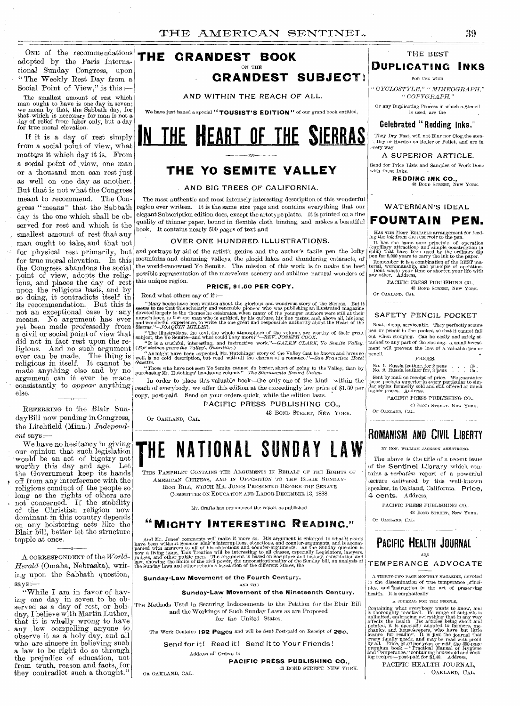ONE of the recommendations adopted by the Paris International Sunday Congress, upon "The Weekly Rest Day from a Social Point of View," is this :—

The smallest amount of rest which man ought to have is one day in seven; we mean by that, the Sabbath day, for that which is necessary for man is not a day of relief from labor only, but a day for true moral elevation.

If it is a day of rest simply from a social point of view, what matters it which day it is. From a social point of view, one man or a thousand men can rest just as well on one day as another. But that is not what the Congress meant to recommend. The Congress " means " that the Sabbath day is the one which shall be observed for rest and which is the smallest amount of rest that any man ought to take, and that not for true moral elevation. In this the Congress abandons the social point of view, adopts the religious, and places the day of rest upon the religious basis, and by so doing, it contradicts itself in its recommendation. But this is not an exceptional case by any means. No argument has ever yet been made professedly from a civil or social point of view that did not in fact rest upon the religious. And no such argument ever can be made. The thing is religious in itself. It cannot be made anything else and by no argument can it ever be made consistantly to *appear* anything else.

REFERRING to the Blair SundayBill now pending in Congress, the Litchfield (Minn.) *Independent* says :—

We have no hesitancy in giving our opinion that such legislation our openion was seen to would be an act of bigotry not<br>workby this day and age. Let worthy this day and age. Let the Government keep its hands off from any interference with the religious conduct of the people so long as the rights of others are not concerned. If the stability of the Christian religion now dominant in this country depends on any bolstering acts like the Blair bill, better let the structure topple at once.

A CORRESPONDENT of the *World-Herald* (Omaha, Nebraska), writing upon the Sabbath question,  $says -$ 

0

"While I am in favor of having one day in seven to be observed as a day of rest, or holiday, I believe with Martin Luther, that it is wholly wrong to have any law compelling anyone to observe it as a holy day, and all who are sincere in believing such a law to be right do so through the prejudice of education, not from truth, reason and facts, for they contradict such a thought."



We have just issued a special "TOUSIST'S EDITION" of our grand book entitled,



# **THE YO SEMITE VALLEY**

#### **AND BIG TREES OF CALIFORNIA.**

The most authentic and most intensely interesting description of this wonderful region ever written. It is the same size page and contains everything that our elegant Subscription edition does, except the artotype plates. It is printed on a fine quality of thinner paper, bound in flexible cloth binding, and makes a beautiful book, It contains nearly 500 pages of text and

#### **OVER ONE HUNDRED. ILLUSTRATIONS.**

for physical rest primarily, but and portrays by aid of the artist's genius and the author's facile pen the lofty mountains and charming valleys, the placid lakes and thundering cataracts, of the world-renowned Yo Semite. The mission of this work is to make the best possible representation of the marvelous scenery and sublime natural wonders of this unique region.

#### **PRICE, \$1.50 PER COPY.**

Read what others say of it :—

Or OAKLAND, CAL

"Many books have been written about the glorious and wondrous story of the Sierras. But it seems to me that this scholarly and venerable ploneer who was publishing an illustrated magazine devoted largely to the themes he

purchasing Mr. Hutchings' handsome volume."—The *Sacramento Record-Union.* 

In order to place this valuable book—the only one of the kind—within the reach of everybody, we offer this edition at the exceedingly low price of \$1.50 per copy, post-paid. Send on your orders quick, while the edition lasts.

#### **PACIFIC PRESS PUBLISHING CO.,**

43 BOND STREET, NEW YORK.

# **HE NATIONAL SUNDAY LAW**

THIS PAMPHLET CONTAINS THE ARGUMENTS IN BEHALF OF THE RIGHTS OF AMERICAN CITIZENS, AND IN OPPOSITION TO THE BLAIR SUNDAY-REST BILL, WHICH MR. JONES PRESENTED BEFORE THE SENATE COMMITTEE ON EDUCATION AND LABOR DECEMBER 13, 1888.

Mr. Crafts has pronounced the report as published

# **"MIGHTY INTERESTING READING."**

And Mr. Jones' comments will make it more so. His argument is enlarged to what it would<br>have been without Senator Blair's interruptions, objections, and counter-arguments, and is accom-<br>panied with answers to all of his ob

#### **Sunday-Law Movement of the** Fourth Century,

AND TH<sub>2</sub>

**Sunday-Law Movement of the Nineteenth Century.** 

The Methods Used in Securing Indorsements to the Petition for the Blair Bill, and the Workings of Such Sunday Laws as are Proposed for the United States.

The Work Contains 1**92 Pages** and will be Sent Post-paid on Receipt *of* 25c.

Send for it! Read it! Send it to Your Friends!

Address all Orders to

**PACIFIC PRESS PUBLISHING CO.,**  43 BOND STREET, NEW YORK.

OR OAKLAND, CAL.

# **THE BEST DUPLICATING INKS**

## FOR USE WITH

*•`CYCLOSTYLE," "MIMEOGRAPH," "COPYGRAPH."* 

Or any Duplicating Process in which a Stencil is used, are the

**Celebrated " Redding Inks."** 

They Dry Fast, will not Blur nor Clog, the sten- ', Dry or Harden on Roller or Pallet, and are in .very way

**A SUPERIOR ARTICLE.**  Send for Price Lists and Samples of Work Done

with these Inks. **REDDING INK CO.,**<br>43 Bond Street, New York.

assessment and

**WATERMAN'S IDEAL** 

# **FOUNTAIN PEN.**

HAS THE MOST RELIABLE arrangement for feed-

Ing the link from the reservoir to the pen.<br>Ing the link from the reservoir to the pen.<br>It has the same sure principle of operation (capillary attraction) and simple construction (a<br>split) that have been used by the ordin

PACIFIC PRESS PUBLISHING CO., 43 BOND STREET, NEW YORK. Or OAKLAND, CAL.

#### **SAFETY PENCIL POCKET**

Neat, cheap, serviceable. They perfectly secure pen or pencil in the pocket, so that it cannot fall out when stooping. Can be easily and safely at-<br>tached to any part of the clothing. A small invest-<br>ment will prevent the loss of a valuable pen or<br>pencil. PRICES.

No. 1. Russia leather, for 2 pens . . . . 10c.<br>No. 2. Russia leather for, 3 pens . . . . 15c. Sent by mail on receipt of price. We guarantee these pockets superior in every particular to sim-ilar styles formerly sold and still offered at much higher prices. Address,

PACIFIC PRESS PUBLISHING CO.. 43 BOND STREET- NEW YORK.

Or OAKLAND, CAL.

# **ROMANISM AND CIVIL LIBERTY**

BY HON. WILLIAM JACKSON ARMSTRONG.

The above is the title of a recent issue of the Sentinel Library which contains a *verbatim* report of a powerful lecture delivered by this well-known speaker, in Oakland, California. Price, 4 cents. Address,

PACIFIC PRESS PUBLISHING CO. 43 BOND STREET, NEW YORK. Or OAKLAND, CAL.

## **PACIFIC HEALTH JOURNAL**  AND

## TEMPERANCE **ADVOCATE**

A THIRTY-TWO PAGE MONTHLY MAGAZINE, devoted :o the dissemination of true temperance principles. and Instruction in the art of preserving health. It is emphatically<br> **A** JOURNAL FOR THE PEOPLE,

A JOURNAL FOR THE PEOPLE,

Containing what overybody wants to know, and is thoroughly practical. Its range of subjects is unlimited, embracing everything that in any way pointed, it is special? adapted to farmers, underhanise, and housekeepers, who

PACIFIC HEALTH JOURNAL, • OAKLAND, CAL.